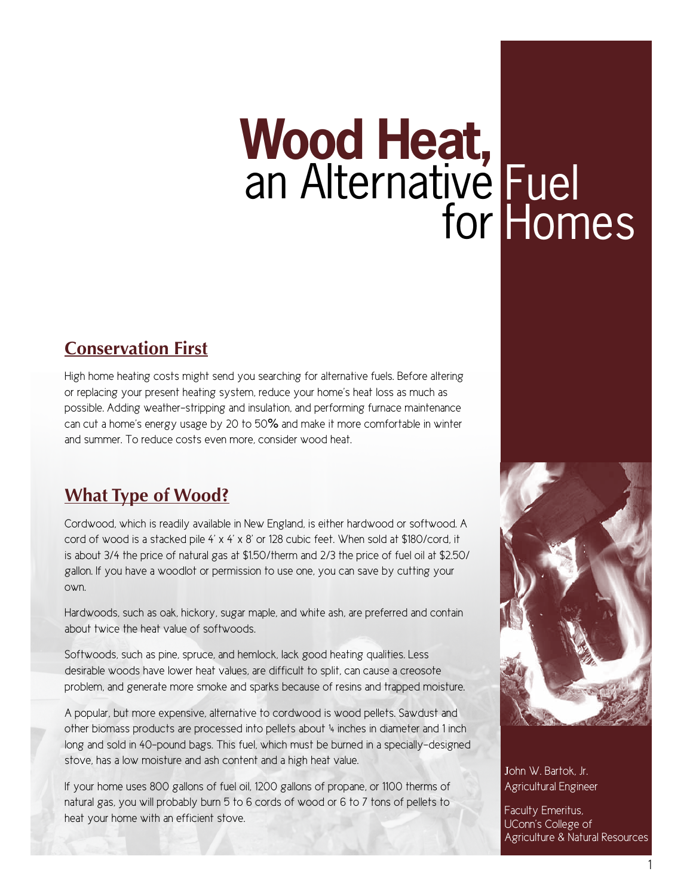# **Wood Heat,**  an Alternativé for Fuel Homes

## **Conservation First**

High home heating costs might send you searching for alternative fuels. Before altering or replacing your present heating system, reduce your home's heat loss as much as possible. Adding weather-stripping and insulation, and performing furnace maintenance can cut a home's energy usage by 20 to 50% and make it more comfortable in winter and summer. To reduce costs even more, consider wood heat.

## **What Type of Wood?**

Cordwood, which is readily available in New England, is either hardwood or softwood. A cord of wood is a stacked pile 4' x 4' x 8' or 128 cubic feet. When sold at \$180/cord, it is about 3/4 the price of natural gas at \$1.50/therm and 2/3 the price of fuel oil at \$2.50/ gallon. If you have a woodlot or permission to use one, you can save by cutting your own.

Hardwoods, such as oak, hickory, sugar maple, and white ash, are preferred and contain about twice the heat value of softwoods.

Softwoods, such as pine, spruce, and hemlock, lack good heating qualities. Less desirable woods have lower heat values, are difficult to split, can cause a creosote problem, and generate more smoke and sparks because of resins and trapped moisture.

A popular, but more expensive, alternative to cordwood is wood pellets. Sawdust and other biomass products are processed into pellets about ¼ inches in diameter and 1 inch long and sold in 40-pound bags. This fuel, which must be burned in a specially-designed stove, has a low moisture and ash content and a high heat value.

If your home uses 800 gallons of fuel oil, 1200 gallons of propane, or 1100 therms of natural gas, you will probably burn 5 to 6 cords of wood or 6 to 7 tons of pellets to heat your home with an efficient stove.



John W. Bartok, Jr. Agricultural Engineer

Faculty Emeritus, UConn's College of Agriculture & Natural Resources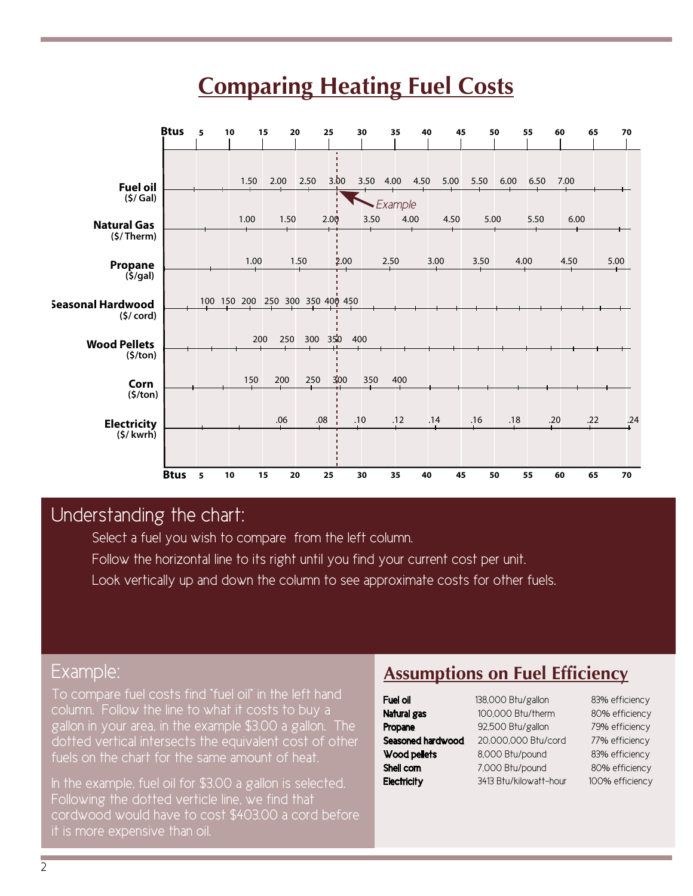# **Comparing Heating Fuel Costs**



## Understanding the chart:

Select a fuel you wish to compare from the left column. Follow the horizontal line to its right until you find your current cost per unit.

Look vertically up and down the column to see approximate costs for other fuels.

#### Example:

To compare fuel costs find "fuel oil" in the left hand column. Follow the line to what it costs to buy a gallon in your area, in the example \$3.00 a gallon. The dotted vertical intersects the equivalent cost of other fuels on the chart for the same amount of heat.

In the example, fuel oil for \$3.00 a gallon is selected. Following the dotted verticle line, we find that cordwood would have to cost \$403.00 a cord before it is more expensive than oil.

## **Assumptions on Fuel Efficiency**

| Fuel oil          | $1^{\circ}$ |
|-------------------|-------------|
| Natural gas       |             |
| Propane           | ί           |
| Seasoned hardwood | ź           |
| Wood pellets      | ٤           |
| Shell corn        | 7           |
| Electricity       | Ξ           |

IOO,000 Btu/therm 80% efficiency 92,500 Btu/gallon 79% efficiency 20,000,000 Btu/cord 77% efficiency 8,000 Btu/pound 83% efficiency 7,000 Btu/pound 80% efficiency 8413 Btu/kilowatt-hour 100% efficiency

Ruel 138,000 Btu/gallon 83% efficiency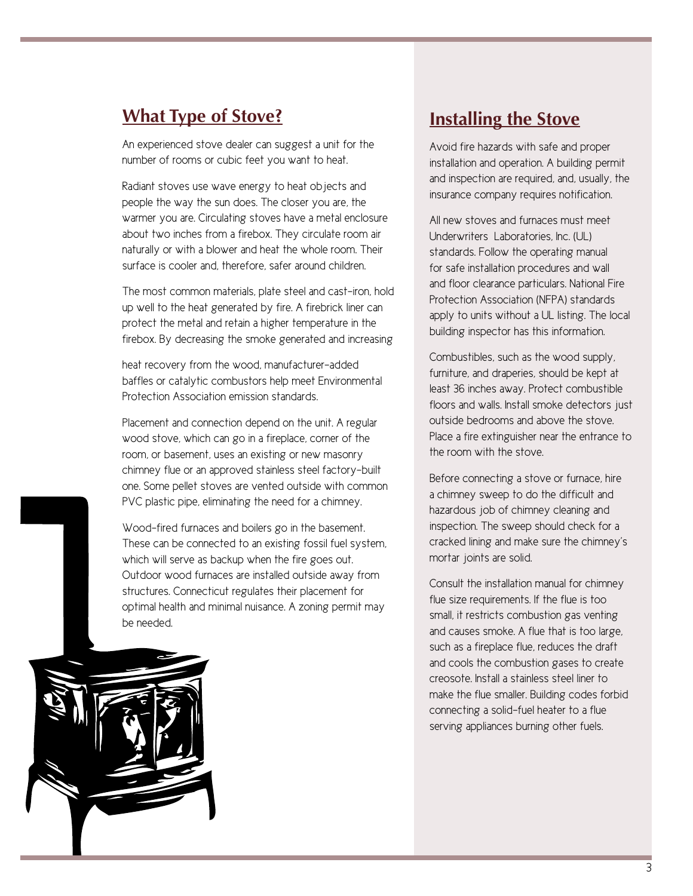### **What Type of Stove?**

An experienced stove dealer can suggest a unit for the number of rooms or cubic feet you want to heat.

Radiant stoves use wave energy to heat objects and people the way the sun does. The closer you are, the warmer you are. Circulating stoves have a metal enclosure about two inches from a firebox. They circulate room air naturally or with a blower and heat the whole room. Their surface is cooler and, therefore, safer around children.

The most common materials, plate steel and cast-iron, hold up well to the heat generated by fire. A firebrick liner can protect the metal and retain a higher temperature in the firebox. By decreasing the smoke generated and increasing

heat recovery from the wood, manufacturer-added baffles or catalytic combustors help meet Environmental Protection Association emission standards.

Placement and connection depend on the unit. A regular wood stove, which can go in a fireplace, corner of the room, or basement, uses an existing or new masonry chimney flue or an approved stainless steel factory-built one. Some pellet stoves are vented outside with common PVC plastic pipe, eliminating the need for a chimney.

Wood-fired furnaces and boilers go in the basement. These can be connected to an existing fossil fuel system, which will serve as backup when the fire goes out. Outdoor wood furnaces are installed outside away from structures. Connecticut regulates their placement for optimal health and minimal nuisance. A zoning permit may be needed.

### **Installing the Stove**

Avoid fire hazards with safe and proper installation and operation. A building permit and inspection are required, and, usually, the insurance company requires notification.

All new stoves and furnaces must meet Underwriters Laboratories, Inc. (UL) standards. Follow the operating manual for safe installation procedures and wall and floor clearance particulars. National Fire Protection Association (NFPA) standards apply to units without a UL listing. The local building inspector has this information.

Combustibles, such as the wood supply, furniture, and draperies, should be kept at least 36 inches away. Protect combustible floors and walls. Install smoke detectors just outside bedrooms and above the stove. Place a fire extinguisher near the entrance to the room with the stove.

Before connecting a stove or furnace, hire a chimney sweep to do the difficult and hazardous job of chimney cleaning and inspection. The sweep should check for a cracked lining and make sure the chimney's mortar joints are solid.

Consult the installation manual for chimney flue size requirements. If the flue is too small, it restricts combustion gas venting and causes smoke. A flue that is too large, such as a fireplace flue, reduces the draft and cools the combustion gases to create creosote. Install a stainless steel liner to make the flue smaller. Building codes forbid connecting a solid-fuel heater to a flue serving appliances burning other fuels.